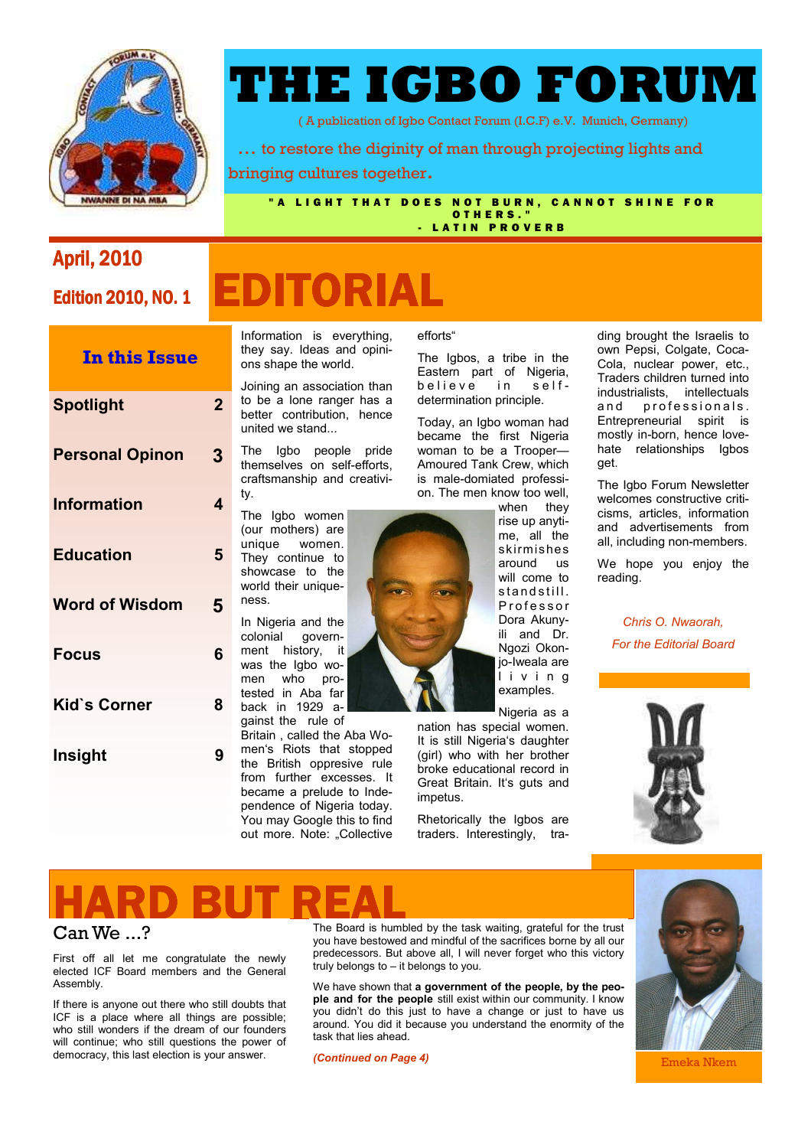

# **THE IGBO FORUM**

( A publication of Igbo Contact Forum (I.C.F) e.V. Munich, Germany)

 … to restore the diginity of man through projecting lights and bringing cultures together.

"A LIGHT THAT DOES NOT BURN, CANNOT SHINE FOR O THERS. - LATIN PROVERB

### **April, 2010**

### **Edition 2010, NO. 1**

# **EDITORIAL**

united we stand... ty. The Igbo women (our mothers) are unique women. They continue to showcase to the world their uniqueness. In Nigeria and the colonial governgovernment history, it was the Igbo women who protested in Aba far back in 1929 against the rule of Britain , called the Aba Wo-**Spotlight 2 Personal Opinon 3 Information 4 Education 5 Word of Wisdom 5 Focus 6 Kid`s Corner 8 In this Issue Insight** 9

Information is everything, they say. Ideas and opinions shape the world.

Joining an association than to be a lone ranger has a better contribution, hence

The Igbo people pride themselves on self-efforts, craftsmanship and creativi-

men's Riots that stopped the British oppresive rule from further excesses. It became a prelude to Independence of Nigeria today. You may Google this to find out more. Note: "Collective

efforts"

The Igbos, a tribe in the Eastern part of Nigeria,<br>believe in selfbelieve in selfdetermination principle.

Today, an Igbo woman had became the first Nigeria woman to be a Trooper— Amoured Tank Crew, which is male-domiated profession. The men know too well,

when they rise up anytime, all the skirmishes around us will come to standstill. P r o f e s s o r Dora Akunyili and Dr. Ngozi Okonjo-Iweala are l i v i n g examples.

Nigeria as a nation has special women. It is still Nigeria's daughter (girl) who with her brother broke educational record in Great Britain. It's guts and impetus.

Rhetorically the Igbos are traders. Interestingly, tra-

ding brought the Israelis to own Pepsi, Colgate, Coca-Cola, nuclear power, etc., Traders children turned into industrialists, intellectuals and professionals. Entrepreneurial spirit is mostly in-born, hence lovehate relationships Igbos get.

The Igbo Forum Newsletter welcomes constructive criticisms, articles, information and advertisements from all, including non-members.

We hope you enjoy the reading.

*Chris O. Nwaorah, For the Editorial Board* 



# **HARD BUT REAL**

### Can We ...?

First off all let me congratulate the newly elected ICF Board members and the General Assembly.

If there is anyone out there who still doubts that ICF is a place where all things are possible; who still wonders if the dream of our founders will continue; who still questions the power of democracy, this last election is your answer.

The Board is humbled by the task waiting, grateful for the trust you have bestowed and mindful of the sacrifices borne by all our predecessors. But above all, I will never forget who this victory truly belongs to – it belongs to you.

We have shown that **a government of the people, by the people and for the people** still exist within our community. I know you didn't do this just to have a change or just to have us around. You did it because you understand the enormity of the task that lies ahead.

*(Continued on Page 4)* 



Emeka Nkem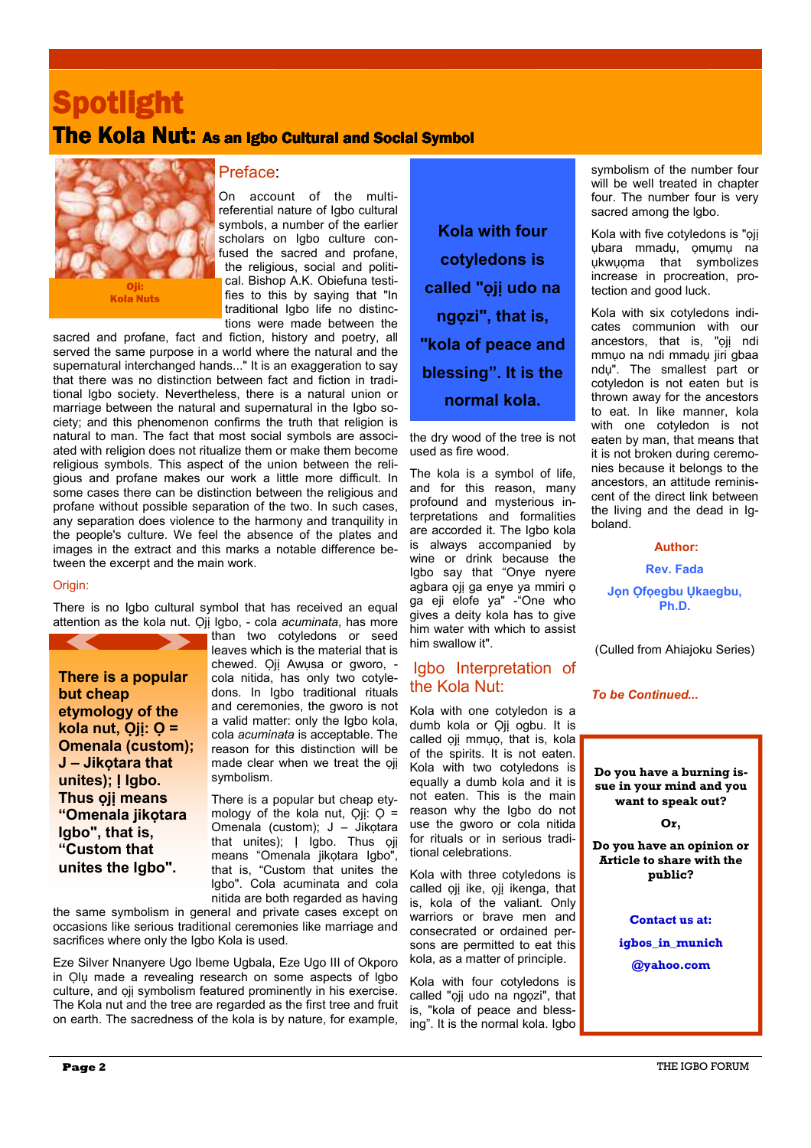# **Spotlight**

## The Kola Nut: As an Igbo Cultural and Social Symbol



### Preface:

On account of the multireferential nature of Igbo cultural symbols, a number of the earlier scholars on Igbo culture confused the sacred and profane, the religious, social and political. Bishop A.K. Obiefuna testifies to this by saying that "In traditional Igbo life no distinctions were made between the

sacred and profane, fact and fiction, history and poetry, all served the same purpose in a world where the natural and the supernatural interchanged hands..." It is an exaggeration to say that there was no distinction between fact and fiction in traditional lgbo society. Nevertheless, there is a natural union or marriage between the natural and supernatural in the Igbo society; and this phenomenon confirms the truth that religion is natural to man. The fact that most social symbols are associated with religion does not ritualize them or make them become religious symbols. This aspect of the union between the religious and profane makes our work a little more difficult. In some cases there can be distinction between the religious and profane without possible separation of the two. In such cases, any separation does violence to the harmony and tranquility in the people's culture. We feel the absence of the plates and images in the extract and this marks a notable difference between the excerpt and the main work.

### Origin:

There is no Igbo cultural symbol that has received an equal attention as the kola nut. Ọjị Igbo, - cola *acuminata*, has more

**There is a popular but cheap etymology of the kola nut, Ọjị: Ọ = Omenala (custom); J – Jikọtara that unites); Ị Igbo. Thus ọjị means "Omenala jikọtara Igbo", that is, "Custom that unites the lgbo".** 

than two cotyledons or seed leaves which is the material that is chewed. Qij Awusa or gworo, cola nitida, has only two cotyledons. In Igbo traditional rituals and ceremonies, the gworo is not a valid matter: only the Igbo kola, cola *acuminata* is acceptable. The reason for this distinction will be made clear when we treat the ọjị symbolism.

There is a popular but cheap etymology of the kola nut,  $Q$ jị:  $Q =$ Omenala (custom); J – Jikọtara that unites); | Igbo. Thus ọjị means "Omenala jikọtara Igbo", that is, "Custom that unites the lgbo". Cola acuminata and cola nitida are both regarded as having

the same symbolism in general and private cases except on occasions like serious traditional ceremonies like marriage and sacrifices where only the Igbo Kola is used.

Eze Silver Nnanyere Ugo Ibeme Ugbala, Eze Ugo III of Okporo in Ọlụ made a revealing research on some aspects of lgbo culture, and ọjị symbolism featured prominently in his exercise. The Kola nut and the tree are regarded as the first tree and fruit on earth. The sacredness of the kola is by nature, for example,

**Kola with four cotyledons is called "ọjị udo na ngọzi", that is, "kola of peace and blessing". It is the normal kola.** 

the dry wood of the tree is not used as fire wood.

The kola is a symbol of life, and for this reason, many profound and mysterious interpretations and formalities are accorded it. The Igbo kola is always accompanied by wine or drink because the Igbo say that "Onye nyere agbara ọjị ga enye ya mmiri ọ ga eji elofe ya" -"One who gives a deity kola has to give him water with which to assist him swallow it".

### Igbo Interpretation of the Kola Nut:

Kola with one cotyledon is a dumb kola or Oji ogbu. It is called oji mmụo, that is, kola of the spirits. It is not eaten. Kola with two cotyledons is equally a dumb kola and it is not eaten. This is the main reason why the Igbo do not use the gworo or cola nitida for rituals or in serious traditional celebrations.

Kola with three cotyledons is called ọjị ike, ọjị ikenga, that is, kola of the valiant. Only warriors or brave men and consecrated or ordained persons are permitted to eat this kola, as a matter of principle.

Kola with four cotyledons is called "oii udo na ngọzi", that is, "kola of peace and blessing". It is the normal kola. Igbo

symbolism of the number four will be well treated in chapter four. The number four is very sacred among the lgbo.

Kola with five cotyledons is "oii ụbara mmadụ, ọmụmụ na ụkwụọma that symbolizes increase in procreation, protection and good luck.

Kola with six cotyledons indicates communion with our ancestors, that is, "oji ndi mmụo na ndi mmadụ jiri gbaa ndụ". The smallest part or cotyledon is not eaten but is thrown away for the ancestors to eat. In like manner, kola with one cotyledon is not eaten by man, that means that it is not broken during ceremonies because it belongs to the ancestors, an attitude reminiscent of the direct link between the living and the dead in Igboland.

### **Author:**

**Rev. Fada Jọn Ọfọegbu Ụkaegbu, Ph.D.**

(Culled from Ahiajoku Series)

*To be Continued...* 

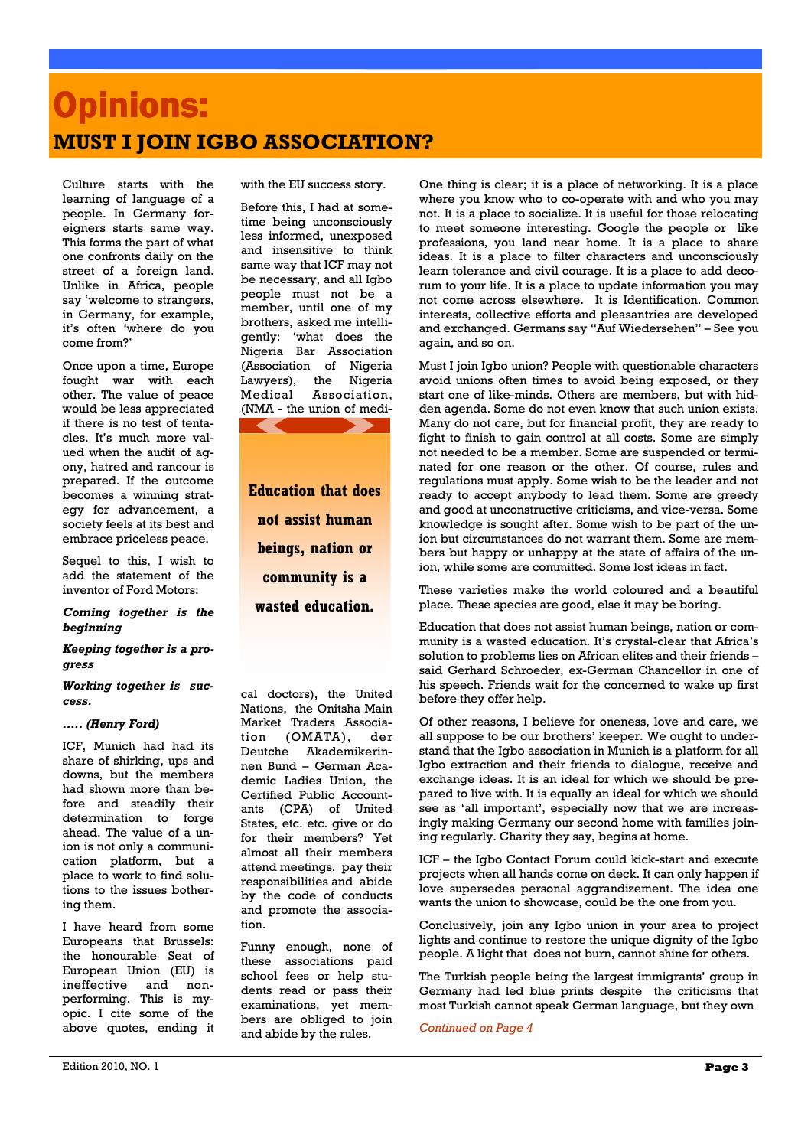# **Opinions: MUST I JOIN IGBO ASSOCIATION?**

Culture starts with the learning of language of a people. In Germany foreigners starts same way. This forms the part of what one confronts daily on the street of a foreign land. Unlike in Africa, people say 'welcome to strangers, in Germany, for example, it's often 'where do you come from?'

Once upon a time, Europe fought war with each other. The value of peace would be less appreciated if there is no test of tentacles. It's much more valued when the audit of agony, hatred and rancour is prepared. If the outcome becomes a winning strategy for advancement, a society feels at its best and embrace priceless peace.

Sequel to this, I wish to add the statement of the inventor of Ford Motors:

*Coming together is the beginning* 

*Keeping together is a progress* 

*Working together is success.* 

### *….. (Henry Ford)*

ICF, Munich had had its share of shirking, ups and downs, but the members had shown more than before and steadily their determination to forge ahead. The value of a union is not only a communication platform, but a place to work to find solutions to the issues bothering them.

I have heard from some Europeans that Brussels: the honourable Seat of European Union (EU) is ineffective and nonperforming. This is myopic. I cite some of the above quotes, ending it with the EU success story.

Before this, I had at sometime being unconsciously less informed, unexposed and insensitive to think same way that ICF may not be necessary, and all Igbo people must not be a member, until one of my brothers, asked me intelligently: 'what does the Nigeria Bar Association (Association of Nigeria Lawyers), the Nigeria Medical Association, (NMA - the union of medi-

**Education that does not assist human beings, nation or community is a wasted education.** 

cal doctors), the United Nations, the Onitsha Main Market Traders Association (OMATA), der Deutche Akademikerinnen Bund – German Academic Ladies Union, the Certified Public Accountants (CPA) of United States, etc. etc. give or do for their members? Yet almost all their members attend meetings, pay their responsibilities and abide by the code of conducts and promote the association.

Funny enough, none of these associations paid school fees or help students read or pass their examinations, yet members are obliged to join and abide by the rules.

One thing is clear; it is a place of networking. It is a place where you know who to co-operate with and who you may not. It is a place to socialize. It is useful for those relocating to meet someone interesting. Google the people or like professions, you land near home. It is a place to share ideas. It is a place to filter characters and unconsciously learn tolerance and civil courage. It is a place to add decorum to your life. It is a place to update information you may not come across elsewhere. It is Identification. Common interests, collective efforts and pleasantries are developed and exchanged. Germans say "Auf Wiedersehen" – See you again, and so on.

Must I join Igbo union? People with questionable characters avoid unions often times to avoid being exposed, or they start one of like-minds. Others are members, but with hidden agenda. Some do not even know that such union exists. Many do not care, but for financial profit, they are ready to fight to finish to gain control at all costs. Some are simply not needed to be a member. Some are suspended or terminated for one reason or the other. Of course, rules and regulations must apply. Some wish to be the leader and not ready to accept anybody to lead them. Some are greedy and good at unconstructive criticisms, and vice-versa. Some knowledge is sought after. Some wish to be part of the union but circumstances do not warrant them. Some are members but happy or unhappy at the state of affairs of the union, while some are committed. Some lost ideas in fact.

These varieties make the world coloured and a beautiful place. These species are good, else it may be boring.

Education that does not assist human beings, nation or community is a wasted education. It's crystal-clear that Africa's solution to problems lies on African elites and their friends – said Gerhard Schroeder, ex-German Chancellor in one of his speech. Friends wait for the concerned to wake up first before they offer help.

Of other reasons, I believe for oneness, love and care, we all suppose to be our brothers' keeper. We ought to understand that the Igbo association in Munich is a platform for all Igbo extraction and their friends to dialogue, receive and exchange ideas. It is an ideal for which we should be prepared to live with. It is equally an ideal for which we should see as 'all important', especially now that we are increasingly making Germany our second home with families joining regularly. Charity they say, begins at home.

ICF – the Igbo Contact Forum could kick-start and execute projects when all hands come on deck. It can only happen if love supersedes personal aggrandizement. The idea one wants the union to showcase, could be the one from you.

Conclusively, join any Igbo union in your area to project lights and continue to restore the unique dignity of the Igbo people. A light that does not burn, cannot shine for others.

The Turkish people being the largest immigrants' group in Germany had led blue prints despite the criticisms that most Turkish cannot speak German language, but they own

*Continued on Page 4*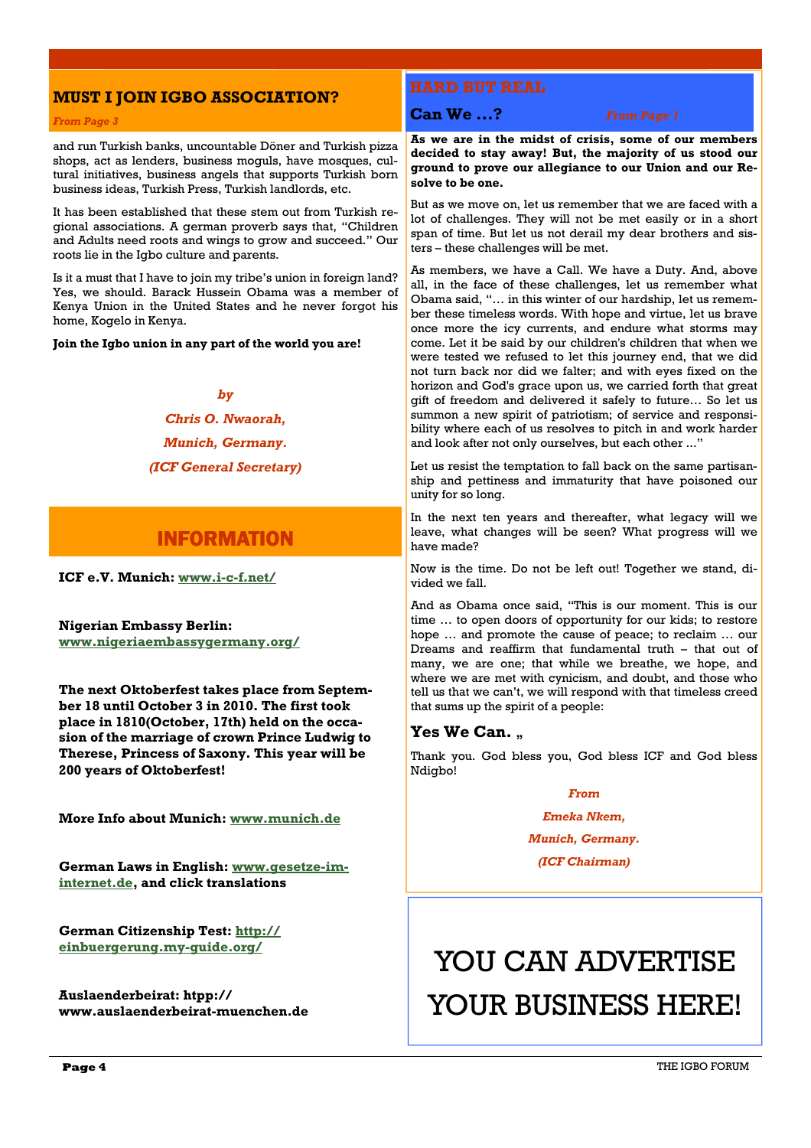### **MUST I JOIN IGBO ASSOCIATION?**

### *From Page 3*

and run Turkish banks, uncountable Döner and Turkish pizza shops, act as lenders, business moguls, have mosques, cultural initiatives, business angels that supports Turkish born business ideas, Turkish Press, Turkish landlords, etc.

It has been established that these stem out from Turkish regional associations. A german proverb says that, "Children and Adults need roots and wings to grow and succeed." Our roots lie in the Igbo culture and parents.

Is it a must that I have to join my tribe's union in foreign land? Yes, we should. Barack Hussein Obama was a member of Kenya Union in the United States and he never forgot his home, Kogelo in Kenya.

**Join the Igbo union in any part of the world you are!** 

### *by*

### *Chris O. Nwaorah, Munich, Germany. (ICF General Secretary)*

### **INFORMATION**

**ICF e.V. Munich: www.i-c-f.net/**

**Nigerian Embassy Berlin: www.nigeriaembassygermany.org/**

**The next Oktoberfest takes place from September 18 until October 3 in 2010. The first took place in 1810(October, 17th) held on the occasion of the marriage of crown Prince Ludwig to Therese, Princess of Saxony. This year will be 200 years of Oktoberfest!** 

**More Info about Munich: www.munich.de** 

**German Laws in English: www.gesetze-iminternet.de, and click translations** 

**German Citizenship Test: http:// einbuergerung.my-guide.org/**

**Auslaenderbeirat: htpp:// www.auslaenderbeirat-muenchen.de** 

**Can We ...?** *From Page 1* 

**As we are in the midst of crisis, some of our members decided to stay away! But, the majority of us stood our ground to prove our allegiance to our Union and our Resolve to be one.** 

But as we move on, let us remember that we are faced with a lot of challenges. They will not be met easily or in a short span of time. But let us not derail my dear brothers and sisters – these challenges will be met.

As members, we have a Call. We have a Duty. And, above all, in the face of these challenges, let us remember what Obama said, "… in this winter of our hardship, let us remember these timeless words. With hope and virtue, let us brave once more the icy currents, and endure what storms may come. Let it be said by our children's children that when we were tested we refused to let this journey end, that we did not turn back nor did we falter; and with eyes fixed on the horizon and God's grace upon us, we carried forth that great gift of freedom and delivered it safely to future… So let us summon a new spirit of patriotism; of service and responsibility where each of us resolves to pitch in and work harder and look after not only ourselves, but each other ..."

Let us resist the temptation to fall back on the same partisanship and pettiness and immaturity that have poisoned our unity for so long.

In the next ten years and thereafter, what legacy will we leave, what changes will be seen? What progress will we have made?

Now is the time. Do not be left out! Together we stand, divided we fall.

And as Obama once said, "This is our moment. This is our time … to open doors of opportunity for our kids; to restore hope … and promote the cause of peace; to reclaim … our Dreams and reaffirm that fundamental truth – that out of many, we are one; that while we breathe, we hope, and where we are met with cynicism, and doubt, and those who tell us that we can't, we will respond with that timeless creed that sums up the spirit of a people:

### **Yes We Can.** ,

Thank you. God bless you, God bless ICF and God bless Ndigbo!

### *From*

*Emeka Nkem,* 

*Munich, Germany.* 

*(ICF Chairman)* 

# YOU CAN ADVERTISE YOUR BUSINESS HERE!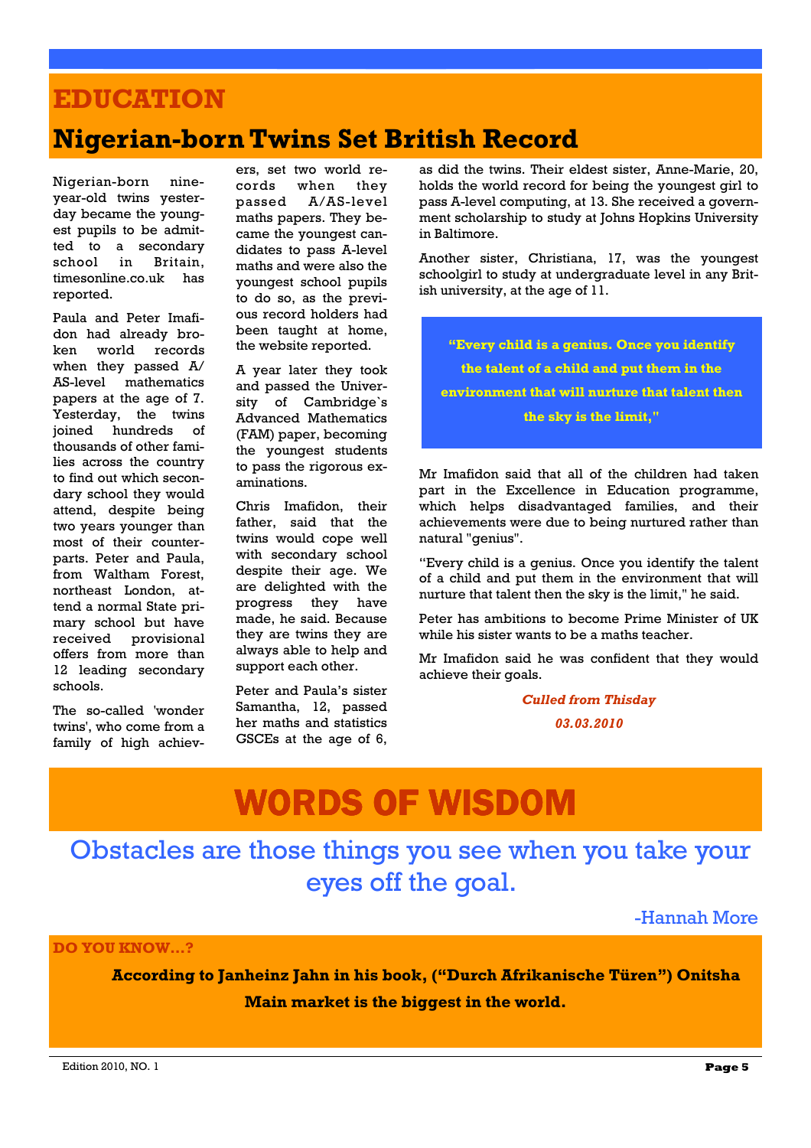# **EDUCATION**

## **Nigerian-born Twins Set British Record**

Nigerian-born nineyear-old twins yesterday became the youngest pupils to be admitted to a secondary school in Britain, timesonline.co.uk has reported.

Paula and Peter Imafidon had already broken world records when they passed A/ AS-level mathematics papers at the age of 7. Yesterday, the twins joined hundreds of thousands of other families across the country to find out which secondary school they would attend, despite being two years younger than most of their counterparts. Peter and Paula, from Waltham Forest, northeast London, attend a normal State primary school but have received provisional offers from more than 12 leading secondary schools.

The so-called 'wonder twins', who come from a family of high achiev-

ers, set two world records when they passed A/AS-level maths papers. They became the youngest candidates to pass A-level maths and were also the youngest school pupils to do so, as the previous record holders had been taught at home, the website reported.

A year later they took and passed the University of Cambridge's Advanced Mathematics (FAM) paper, becoming the youngest students to pass the rigorous examinations.

Chris Imafidon, their father, said that the twins would cope well with secondary school despite their age. We are delighted with the progress they have made, he said. Because they are twins they are always able to help and support each other.

Peter and Paula's sister Samantha, 12, passed her maths and statistics GSCEs at the age of 6,

as did the twins. Their eldest sister, Anne-Marie, 20, holds the world record for being the youngest girl to pass A-level computing, at 13. She received a government scholarship to study at Johns Hopkins University in Baltimore.

Another sister, Christiana, 17, was the youngest schoolgirl to study at undergraduate level in any British university, at the age of 11.

**"Every child is a genius. Once you identify the talent of a child and put them in the environment that will nurture that talent then the sky is the limit,"** 

Mr Imafidon said that all of the children had taken part in the Excellence in Education programme, which helps disadvantaged families, and their achievements were due to being nurtured rather than natural "genius".

"Every child is a genius. Once you identify the talent of a child and put them in the environment that will nurture that talent then the sky is the limit," he said.

Peter has ambitions to become Prime Minister of UK while his sister wants to be a maths teacher.

Mr Imafidon said he was confident that they would achieve their goals.

> *Culled from Thisday 03.03.2010*

# **WORDS OF WISDOM**

Obstacles are those things you see when you take your eyes off the goal.

-Hannah More

**DO YOU KNOW…?** 

 **According to Janheinz Jahn in his book, ("Durch Afrikanische Türen") Onitsha Main market is the biggest in the world.**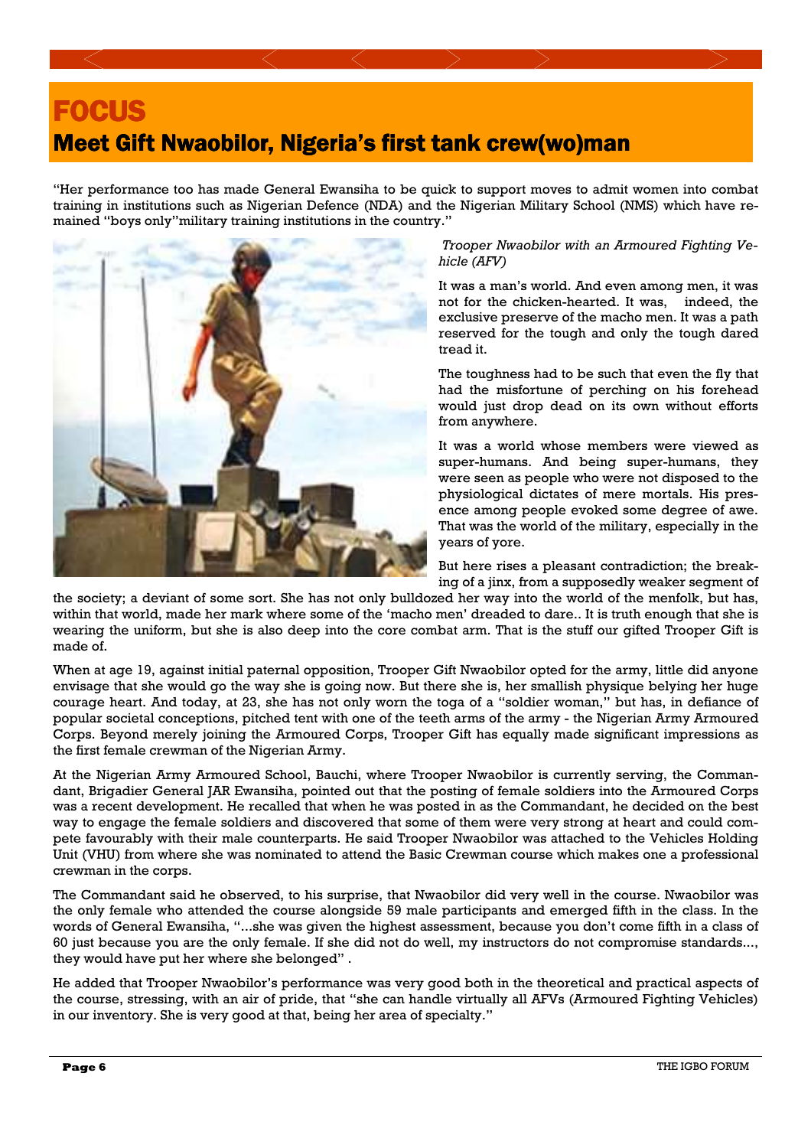

"Her performance too has made General Ewansiha to be quick to support moves to admit women into combat training in institutions such as Nigerian Defence (NDA) and the Nigerian Military School (NMS) which have remained "boys only"military training institutions in the country."



*Trooper Nwaobilor with an Armoured Fighting Vehicle (AFV)* 

It was a man's world. And even among men, it was not for the chicken-hearted. It was, indeed, the exclusive preserve of the macho men. It was a path reserved for the tough and only the tough dared tread it.

The toughness had to be such that even the fly that had the misfortune of perching on his forehead would just drop dead on its own without efforts from anywhere.

It was a world whose members were viewed as super-humans. And being super-humans, they were seen as people who were not disposed to the physiological dictates of mere mortals. His presence among people evoked some degree of awe. That was the world of the military, especially in the years of yore.

But here rises a pleasant contradiction; the breaking of a jinx, from a supposedly weaker segment of

the society; a deviant of some sort. She has not only bulldozed her way into the world of the menfolk, but has, within that world, made her mark where some of the 'macho men' dreaded to dare.. It is truth enough that she is wearing the uniform, but she is also deep into the core combat arm. That is the stuff our gifted Trooper Gift is made of.

When at age 19, against initial paternal opposition, Trooper Gift Nwaobilor opted for the army, little did anyone envisage that she would go the way she is going now. But there she is, her smallish physique belying her huge courage heart. And today, at 23, she has not only worn the toga of a "soldier woman," but has, in defiance of popular societal conceptions, pitched tent with one of the teeth arms of the army - the Nigerian Army Armoured Corps. Beyond merely joining the Armoured Corps, Trooper Gift has equally made significant impressions as the first female crewman of the Nigerian Army.

At the Nigerian Army Armoured School, Bauchi, where Trooper Nwaobilor is currently serving, the Commandant, Brigadier General JAR Ewansiha, pointed out that the posting of female soldiers into the Armoured Corps was a recent development. He recalled that when he was posted in as the Commandant, he decided on the best way to engage the female soldiers and discovered that some of them were very strong at heart and could compete favourably with their male counterparts. He said Trooper Nwaobilor was attached to the Vehicles Holding Unit (VHU) from where she was nominated to attend the Basic Crewman course which makes one a professional crewman in the corps.

The Commandant said he observed, to his surprise, that Nwaobilor did very well in the course. Nwaobilor was the only female who attended the course alongside 59 male participants and emerged fifth in the class. In the words of General Ewansiha, "...she was given the highest assessment, because you don't come fifth in a class of 60 just because you are the only female. If she did not do well, my instructors do not compromise standards..., they would have put her where she belonged" .

He added that Trooper Nwaobilor's performance was very good both in the theoretical and practical aspects of the course, stressing, with an air of pride, that "she can handle virtually all AFVs (Armoured Fighting Vehicles) in our inventory. She is very good at that, being her area of specialty."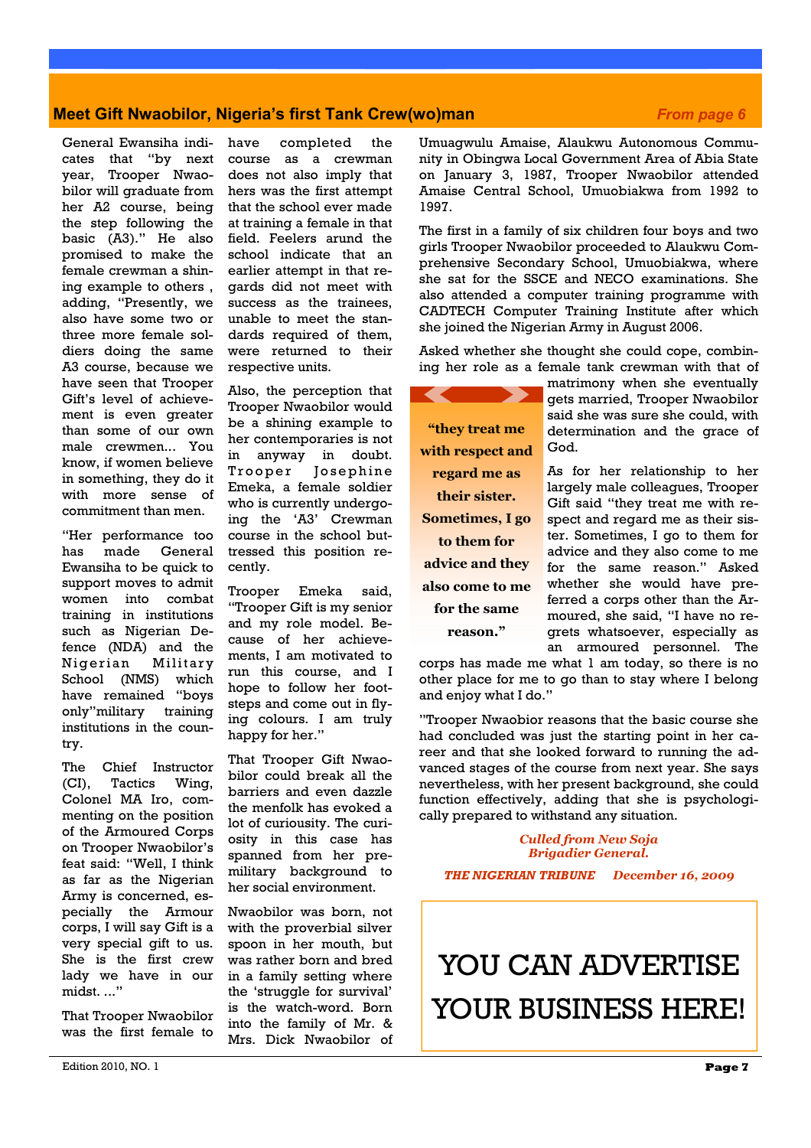### **Meet Gift Nwaobilor, Nigeria's first Tank Crew(wo)man** *From page 6* **From page 6**

General Ewansiha indicates that "by next year, Trooper Nwaobilor will graduate from her A2 course, being the step following the basic (A3)." He also promised to make the female crewman a shining example to others , adding, "Presently, we also have some two or three more female soldiers doing the same A3 course, because we have seen that Trooper Gift's level of achievement is even greater than some of our own male crewmen... You know, if women believe in something, they do it with more sense of commitment than men.

"Her performance too has made General Ewansiha to be quick to support moves to admit women into combat training in institutions such as Nigerian Defence (NDA) and the Nigerian Military School (NMS) which have remained "boys only"military training institutions in the country.

The Chief Instructor (CI), Tactics Wing, Colonel MA Iro, commenting on the position of the Armoured Corps on Trooper Nwaobilor's feat said: "Well, I think as far as the Nigerian Army is concerned, especially the Armour corps, I will say Gift is a very special gift to us. She is the first crew lady we have in our midst. ..."

That Trooper Nwaobilor was the first female to

have completed the course as a crewman does not also imply that hers was the first attempt that the school ever made at training a female in that field. Feelers arund the school indicate that an earlier attempt in that regards did not meet with success as the trainees, unable to meet the standards required of them, were returned to their respective units.

Also, the perception that Trooper Nwaobilor would be a shining example to her contemporaries is not in anyway in doubt. Trooper Josephine Emeka, a female soldier who is currently undergoing the 'A3' Crewman course in the school buttressed this position recently.

Trooper Emeka said, "Trooper Gift is my senior and my role model. Because of her achievements, I am motivated to run this course, and I hope to follow her footsteps and come out in flying colours. I am truly happy for her."

That Trooper Gift Nwaobilor could break all the barriers and even dazzle the menfolk has evoked a lot of curiousity. The curiosity in this case has spanned from her premilitary background to her social environment.

Nwaobilor was born, not with the proverbial silver spoon in her mouth, but was rather born and bred in a family setting where the 'struggle for survival' is the watch-word. Born into the family of Mr. & Mrs. Dick Nwaobilor of Umuagwulu Amaise, Alaukwu Autonomous Community in Obingwa Local Government Area of Abia State on January 3, 1987, Trooper Nwaobilor attended Amaise Central School, Umuobiakwa from 1992 to 1997.

The first in a family of six children four boys and two girls Trooper Nwaobilor proceeded to Alaukwu Comprehensive Secondary School, Umuobiakwa, where she sat for the SSCE and NECO examinations. She also attended a computer training programme with CADTECH Computer Training Institute after which she joined the Nigerian Army in August 2006.

Asked whether she thought she could cope, combining her role as a female tank crewman with that of

**"they treat me with respect and regard me as their sister. Sometimes, I go to them for advice and they also come to me for the same reason."** 

matrimony when she eventually gets married, Trooper Nwaobilor said she was sure she could, with determination and the grace of God.

As for her relationship to her largely male colleagues, Trooper Gift said "they treat me with respect and regard me as their sister. Sometimes, I go to them for advice and they also come to me for the same reason." Asked whether she would have preferred a corps other than the Armoured, she said, "I have no regrets whatsoever, especially as an armoured personnel. The

corps has made me what 1 am today, so there is no other place for me to go than to stay where I belong and enjoy what I do."

"Trooper Nwaobior reasons that the basic course she had concluded was just the starting point in her career and that she looked forward to running the advanced stages of the course from next year. She says nevertheless, with her present background, she could function effectively, adding that she is psychologically prepared to withstand any situation.

> *Culled from New Soja Brigadier General.*

*THE NIGERIAN TRIBUNE December 16, 2009*

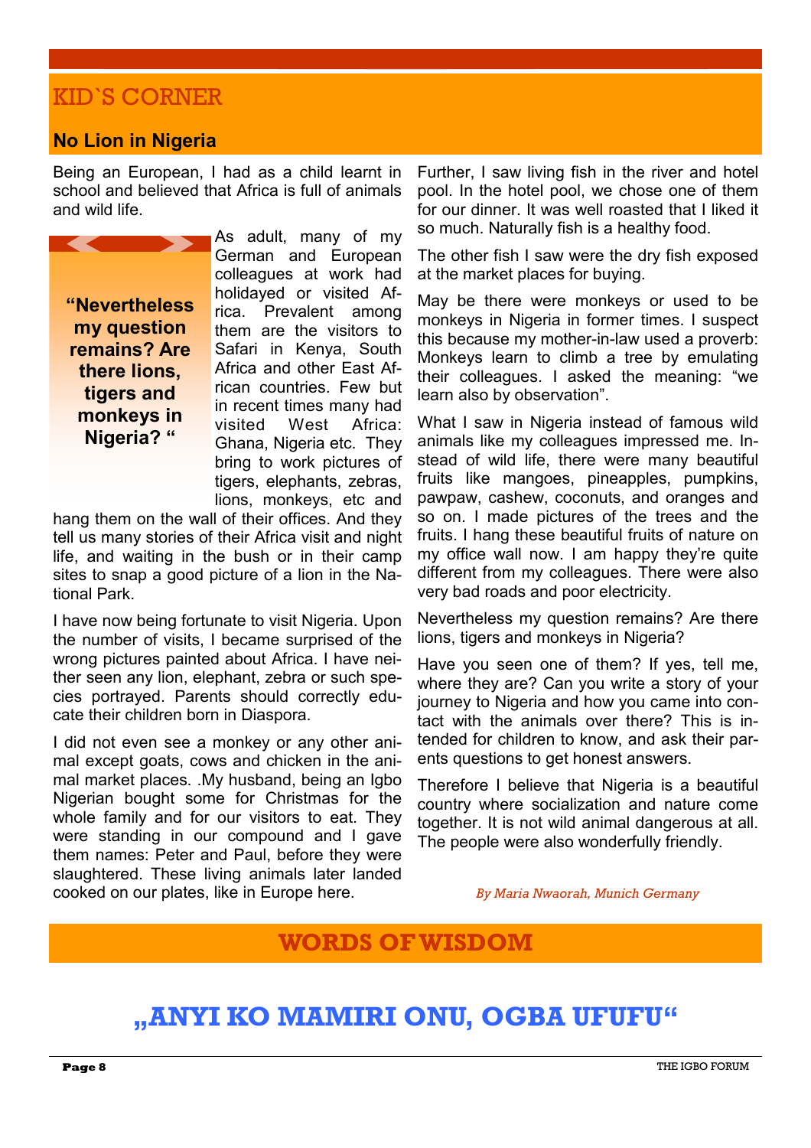## KID`S CORNER

### **No Lion in Nigeria**

Being an European, I had as a child learnt in school and believed that Africa is full of animals and wild life.



As adult, many of my German and European colleagues at work had holidayed or visited Africa. Prevalent among them are the visitors to Safari in Kenya, South Africa and other East African countries. Few but in recent times many had visited West Africa: Ghana, Nigeria etc. They bring to work pictures of tigers, elephants, zebras, lions, monkeys, etc and

hang them on the wall of their offices. And they tell us many stories of their Africa visit and night life, and waiting in the bush or in their camp sites to snap a good picture of a lion in the National Park.

I have now being fortunate to visit Nigeria. Upon the number of visits, I became surprised of the wrong pictures painted about Africa. I have neither seen any lion, elephant, zebra or such species portrayed. Parents should correctly educate their children born in Diaspora.

I did not even see a monkey or any other animal except goats, cows and chicken in the animal market places. .My husband, being an Igbo Nigerian bought some for Christmas for the whole family and for our visitors to eat. They were standing in our compound and I gave them names: Peter and Paul, before they were slaughtered. These living animals later landed cooked on our plates, like in Europe here.

Further, I saw living fish in the river and hotel pool. In the hotel pool, we chose one of them for our dinner. It was well roasted that I liked it so much. Naturally fish is a healthy food.

The other fish I saw were the dry fish exposed at the market places for buying.

May be there were monkeys or used to be monkeys in Nigeria in former times. I suspect this because my mother-in-law used a proverb: Monkeys learn to climb a tree by emulating their colleagues. I asked the meaning: "we learn also by observation".

What I saw in Nigeria instead of famous wild animals like my colleagues impressed me. Instead of wild life, there were many beautiful fruits like mangoes, pineapples, pumpkins, pawpaw, cashew, coconuts, and oranges and so on. I made pictures of the trees and the fruits. I hang these beautiful fruits of nature on my office wall now. I am happy they're quite different from my colleagues. There were also very bad roads and poor electricity.

Nevertheless my question remains? Are there lions, tigers and monkeys in Nigeria?

Have you seen one of them? If yes, tell me, where they are? Can you write a story of your journey to Nigeria and how you came into contact with the animals over there? This is intended for children to know, and ask their parents questions to get honest answers.

Therefore I believe that Nigeria is a beautiful country where socialization and nature come together. It is not wild animal dangerous at all. The people were also wonderfully friendly.

*By Maria Nwaorah, Munich Germany* 

### **WORDS OF WISDOM**

# **"ANYI KO MAMIRI ONU, OGBA UFUFU"**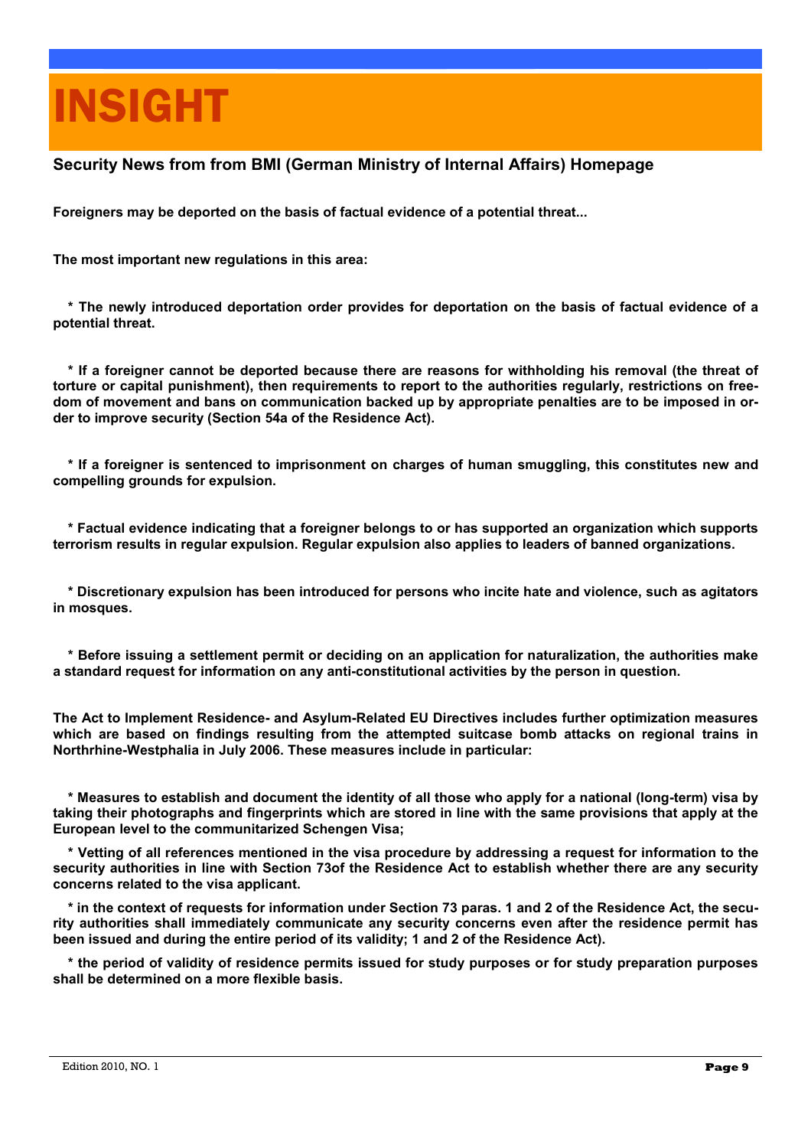# INSIGHT

### **Security News from from BMI (German Ministry of Internal Affairs) Homepage**

**Foreigners may be deported on the basis of factual evidence of a potential threat...** 

**The most important new regulations in this area:** 

 **\* The newly introduced deportation order provides for deportation on the basis of factual evidence of a potential threat.** 

 **\* If a foreigner cannot be deported because there are reasons for withholding his removal (the threat of torture or capital punishment), then requirements to report to the authorities regularly, restrictions on freedom of movement and bans on communication backed up by appropriate penalties are to be imposed in order to improve security (Section 54a of the Residence Act).** 

 **\* If a foreigner is sentenced to imprisonment on charges of human smuggling, this constitutes new and compelling grounds for expulsion.** 

 **\* Factual evidence indicating that a foreigner belongs to or has supported an organization which supports terrorism results in regular expulsion. Regular expulsion also applies to leaders of banned organizations.** 

 **\* Discretionary expulsion has been introduced for persons who incite hate and violence, such as agitators in mosques.** 

 **\* Before issuing a settlement permit or deciding on an application for naturalization, the authorities make a standard request for information on any anti-constitutional activities by the person in question.** 

**The Act to Implement Residence- and Asylum-Related EU Directives includes further optimization measures which are based on findings resulting from the attempted suitcase bomb attacks on regional trains in Northrhine-Westphalia in July 2006. These measures include in particular:** 

 **\* Measures to establish and document the identity of all those who apply for a national (long-term) visa by taking their photographs and fingerprints which are stored in line with the same provisions that apply at the European level to the communitarized Schengen Visa;**

 **\* Vetting of all references mentioned in the visa procedure by addressing a request for information to the security authorities in line with Section 73of the Residence Act to establish whether there are any security concerns related to the visa applicant.** 

 **\* in the context of requests for information under Section 73 paras. 1 and 2 of the Residence Act, the security authorities shall immediately communicate any security concerns even after the residence permit has been issued and during the entire period of its validity; 1 and 2 of the Residence Act).** 

 **\* the period of validity of residence permits issued for study purposes or for study preparation purposes shall be determined on a more flexible basis.**